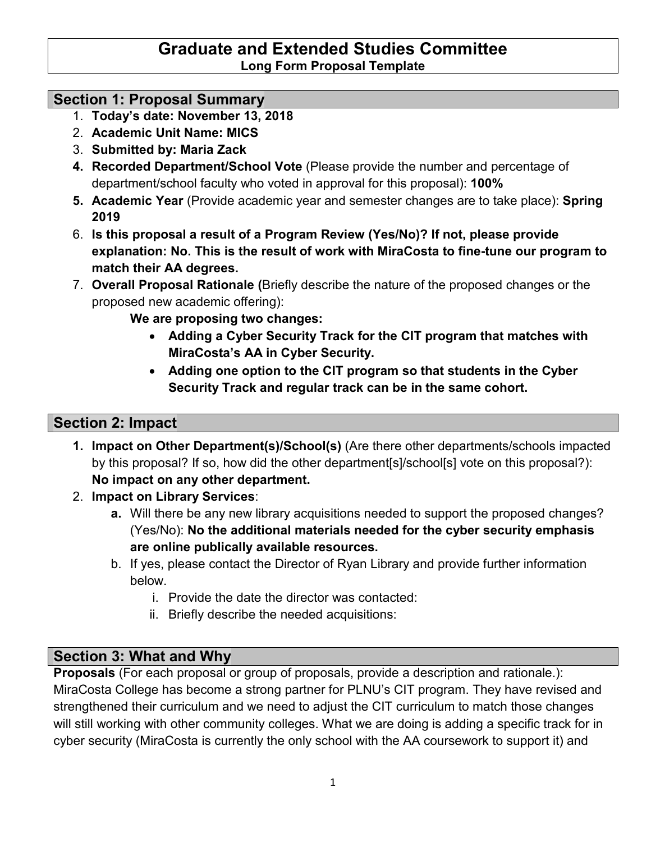### **Graduate and Extended Studies Committee Long Form Proposal Template**

### **Section 1: Proposal Summary**

- 1. **Today's date: November 13, 2018**
- 2. **Academic Unit Name: MICS**
- 3. **Submitted by: Maria Zack**
- **4. Recorded Department/School Vote** (Please provide the number and percentage of department/school faculty who voted in approval for this proposal): **100%**
- **5. Academic Year** (Provide academic year and semester changes are to take place): **Spring 2019**
- 6. **Is this proposal a result of a Program Review (Yes/No)? If not, please provide explanation: No. This is the result of work with MiraCosta to fine-tune our program to match their AA degrees.**
- 7. **Overall Proposal Rationale (**Briefly describe the nature of the proposed changes or the proposed new academic offering):

**We are proposing two changes:**

- **Adding a Cyber Security Track for the CIT program that matches with MiraCosta's AA in Cyber Security.**
- **Adding one option to the CIT program so that students in the Cyber Security Track and regular track can be in the same cohort.**

## **Section 2: Impact**

- **1. Impact on Other Department(s)/School(s)** (Are there other departments/schools impacted by this proposal? If so, how did the other department[s]/school[s] vote on this proposal?): **No impact on any other department.**
- 2. **Impact on Library Services**:
	- **a.** Will there be any new library acquisitions needed to support the proposed changes? (Yes/No): **No the additional materials needed for the cyber security emphasis are online publically available resources.**
	- b. If yes, please contact the Director of Ryan Library and provide further information below.
		- i. Provide the date the director was contacted:
		- ii. Briefly describe the needed acquisitions:

# **Section 3: What and Why**

**Proposals** (For each proposal or group of proposals, provide a description and rationale.): MiraCosta College has become a strong partner for PLNU's CIT program. They have revised and strengthened their curriculum and we need to adjust the CIT curriculum to match those changes will still working with other community colleges. What we are doing is adding a specific track for in cyber security (MiraCosta is currently the only school with the AA coursework to support it) and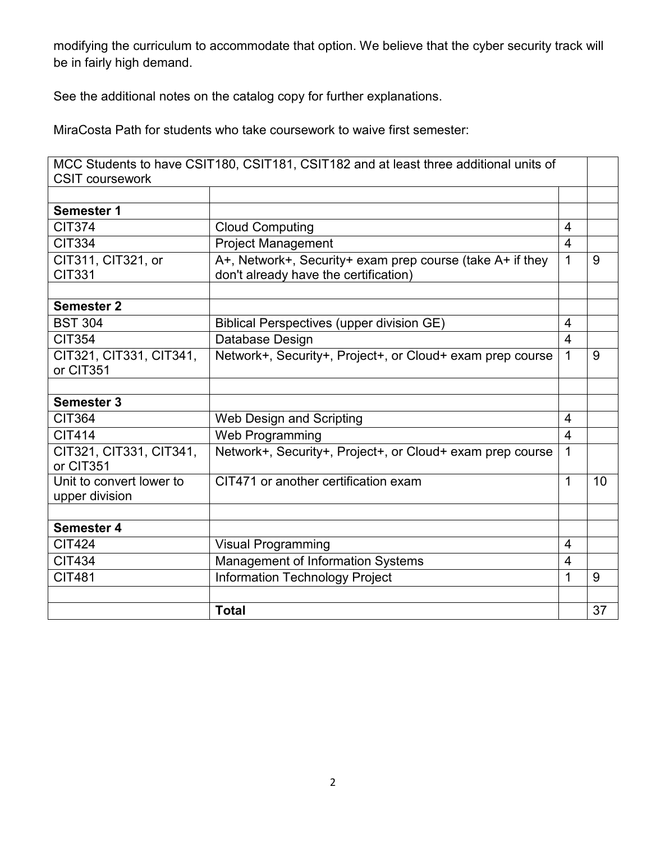modifying the curriculum to accommodate that option. We believe that the cyber security track will be in fairly high demand.

See the additional notes on the catalog copy for further explanations.

MiraCosta Path for students who take coursework to waive first semester:

|                                            | MCC Students to have CSIT180, CSIT181, CSIT182 and at least three additional units of              |                |    |
|--------------------------------------------|----------------------------------------------------------------------------------------------------|----------------|----|
| <b>CSIT coursework</b>                     |                                                                                                    |                |    |
|                                            |                                                                                                    |                |    |
| <b>Semester 1</b>                          |                                                                                                    |                |    |
| <b>CIT374</b>                              | <b>Cloud Computing</b>                                                                             | 4              |    |
| <b>CIT334</b>                              | <b>Project Management</b>                                                                          | $\overline{4}$ |    |
| CIT311, CIT321, or<br><b>CIT331</b>        | A+, Network+, Security+ exam prep course (take A+ if they<br>don't already have the certification) | $\mathbf{1}$   | 9  |
| <b>Semester 2</b>                          |                                                                                                    |                |    |
| <b>BST 304</b>                             | <b>Biblical Perspectives (upper division GE)</b>                                                   | $\overline{4}$ |    |
| <b>CIT354</b>                              | Database Design                                                                                    | $\overline{4}$ |    |
| CIT321, CIT331, CIT341,<br>or CIT351       | Network+, Security+, Project+, or Cloud+ exam prep course                                          | $\mathbf{1}$   | 9  |
|                                            |                                                                                                    |                |    |
| <b>Semester 3</b>                          |                                                                                                    |                |    |
| <b>CIT364</b>                              | Web Design and Scripting                                                                           | 4              |    |
| <b>CIT414</b>                              | Web Programming                                                                                    | $\overline{4}$ |    |
| CIT321, CIT331, CIT341,<br>or CIT351       | Network+, Security+, Project+, or Cloud+ exam prep course                                          | $\mathbf{1}$   |    |
| Unit to convert lower to<br>upper division | CIT471 or another certification exam                                                               | $\mathbf{1}$   | 10 |
|                                            |                                                                                                    |                |    |
| <b>Semester 4</b>                          |                                                                                                    |                |    |
| <b>CIT424</b>                              | <b>Visual Programming</b>                                                                          | 4              |    |
| <b>CIT434</b>                              | Management of Information Systems                                                                  | 4              |    |
| <b>CIT481</b>                              | <b>Information Technology Project</b>                                                              | $\mathbf{1}$   | 9  |
|                                            |                                                                                                    |                |    |
|                                            | <b>Total</b>                                                                                       |                | 37 |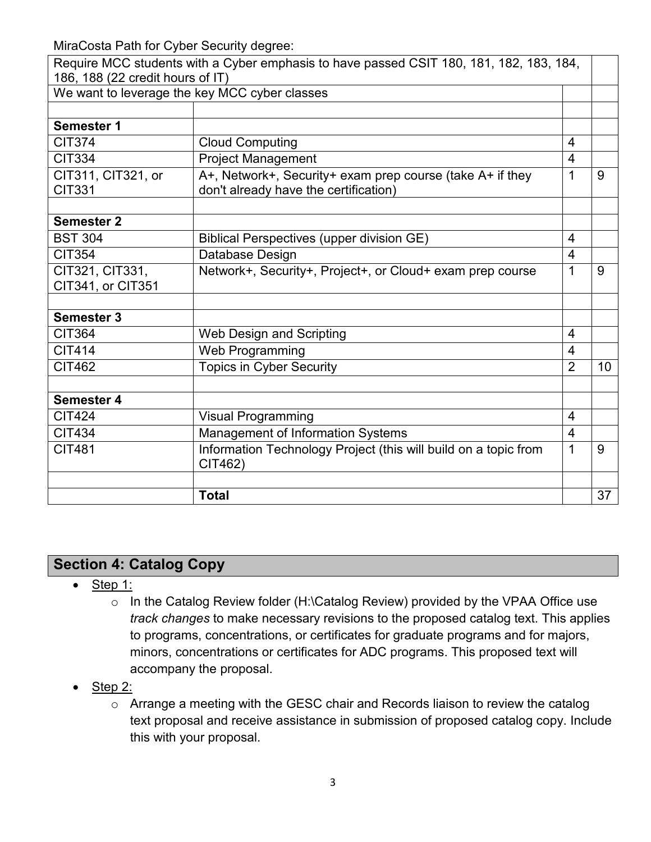MiraCosta Path for Cyber Security degree:

| Require MCC students with a Cyber emphasis to have passed CSIT 180, 181, 182, 183, 184,<br>186, 188 (22 credit hours of IT) |                                                                                                    |                |    |  |  |
|-----------------------------------------------------------------------------------------------------------------------------|----------------------------------------------------------------------------------------------------|----------------|----|--|--|
|                                                                                                                             | We want to leverage the key MCC cyber classes                                                      |                |    |  |  |
|                                                                                                                             |                                                                                                    |                |    |  |  |
| Semester 1                                                                                                                  |                                                                                                    |                |    |  |  |
| <b>CIT374</b>                                                                                                               | <b>Cloud Computing</b>                                                                             | $\overline{4}$ |    |  |  |
| <b>CIT334</b>                                                                                                               | <b>Project Management</b>                                                                          | 4              |    |  |  |
| CIT311, CIT321, or<br><b>CIT331</b>                                                                                         | A+, Network+, Security+ exam prep course (take A+ if they<br>don't already have the certification) | 1              | 9  |  |  |
|                                                                                                                             |                                                                                                    |                |    |  |  |
| <b>Semester 2</b>                                                                                                           |                                                                                                    |                |    |  |  |
| <b>BST 304</b>                                                                                                              | <b>Biblical Perspectives (upper division GE)</b>                                                   | $\overline{4}$ |    |  |  |
| <b>CIT354</b>                                                                                                               | Database Design                                                                                    | 4              |    |  |  |
| CIT321, CIT331,                                                                                                             | Network+, Security+, Project+, or Cloud+ exam prep course                                          | 1              | 9  |  |  |
| CIT341, or CIT351                                                                                                           |                                                                                                    |                |    |  |  |
| <b>Semester 3</b>                                                                                                           |                                                                                                    |                |    |  |  |
| <b>CIT364</b>                                                                                                               | Web Design and Scripting                                                                           | 4              |    |  |  |
| <b>CIT414</b>                                                                                                               | Web Programming                                                                                    | $\overline{4}$ |    |  |  |
| <b>CIT462</b>                                                                                                               | <b>Topics in Cyber Security</b>                                                                    | $\overline{2}$ | 10 |  |  |
|                                                                                                                             |                                                                                                    |                |    |  |  |
| <b>Semester 4</b>                                                                                                           |                                                                                                    |                |    |  |  |
| <b>CIT424</b>                                                                                                               | <b>Visual Programming</b>                                                                          | 4              |    |  |  |
| <b>CIT434</b>                                                                                                               | Management of Information Systems                                                                  | $\overline{4}$ |    |  |  |
| <b>CIT481</b>                                                                                                               | Information Technology Project (this will build on a topic from<br>CIT462)                         | 1              | 9  |  |  |
|                                                                                                                             |                                                                                                    |                |    |  |  |
|                                                                                                                             | <b>Total</b>                                                                                       |                | 37 |  |  |

# **Section 4: Catalog Copy**

- Step 1:
	- o In the Catalog Review folder (H:\Catalog Review) provided by the VPAA Office use *track changes* to make necessary revisions to the proposed catalog text. This applies to programs, concentrations, or certificates for graduate programs and for majors, minors, concentrations or certificates for ADC programs. This proposed text will accompany the proposal.
- Step 2:
	- o Arrange a meeting with the GESC chair and Records liaison to review the catalog text proposal and receive assistance in submission of proposed catalog copy. Include this with your proposal.